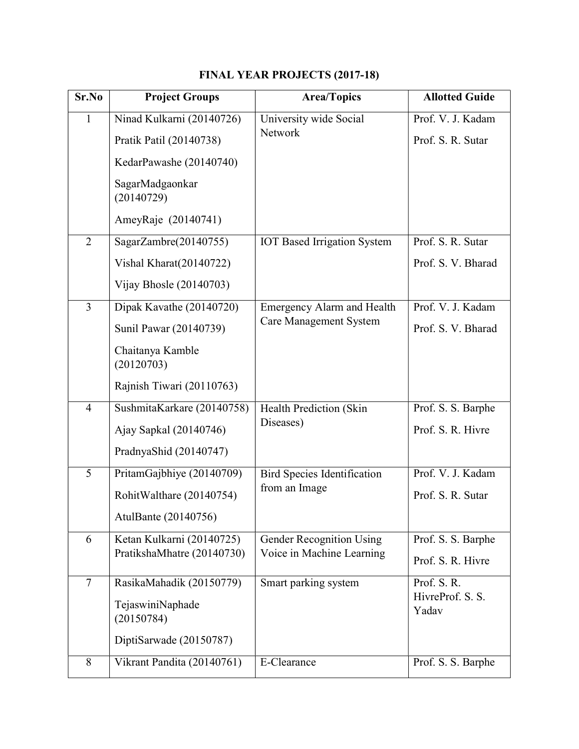| Sr.No          | <b>Project Groups</b>          | <b>Area/Topics</b>                                                 | <b>Allotted Guide</b>     |
|----------------|--------------------------------|--------------------------------------------------------------------|---------------------------|
| $\mathbf{1}$   | Ninad Kulkarni (20140726)      | University wide Social                                             | Prof. V. J. Kadam         |
|                | Pratik Patil (20140738)        | <b>Network</b>                                                     | Prof. S. R. Sutar         |
|                | KedarPawashe (20140740)        |                                                                    |                           |
|                | SagarMadgaonkar<br>(20140729)  |                                                                    |                           |
|                | AmeyRaje (20140741)            |                                                                    |                           |
| $\overline{2}$ | SagarZambre(20140755)          | <b>IOT Based Irrigation System</b>                                 | Prof. S. R. Sutar         |
|                | Vishal Kharat(20140722)        |                                                                    | Prof. S. V. Bharad        |
|                | Vijay Bhosle $(20140703)$      |                                                                    |                           |
| $\overline{3}$ | Dipak Kavathe (20140720)       | <b>Emergency Alarm and Health</b><br><b>Care Management System</b> | Prof. V. J. Kadam         |
|                | Sunil Pawar (20140739)         |                                                                    | Prof. S. V. Bharad        |
|                | Chaitanya Kamble<br>(20120703) |                                                                    |                           |
|                | Rajnish Tiwari (20110763)      |                                                                    |                           |
| $\overline{4}$ | SushmitaKarkare (20140758)     | <b>Health Prediction (Skin</b><br>Diseases)                        | Prof. S. S. Barphe        |
|                | Ajay Sapkal (20140746)         |                                                                    | Prof. S. R. Hivre         |
|                | PradnyaShid (20140747)         |                                                                    |                           |
| 5              | PritamGajbhiye (20140709)      | <b>Bird Species Identification</b><br>from an Image                | Prof. V. J. Kadam         |
|                | RohitWalthare (20140754)       |                                                                    | Prof. S. R. Sutar         |
|                | AtulBante (20140756)           |                                                                    |                           |
| 6              | Ketan Kulkarni (20140725)      | <b>Gender Recognition Using</b><br>Voice in Machine Learning       | Prof. S. S. Barphe        |
|                | PratikshaMhatre (20140730)     |                                                                    | Prof. S. R. Hivre         |
| $\tau$         | RasikaMahadik (20150779)       | Smart parking system                                               | Prof. S.R.                |
|                | TejaswiniNaphade<br>(20150784) |                                                                    | HivreProf. S. S.<br>Yadav |
|                | DiptiSarwade (20150787)        |                                                                    |                           |
| 8              | Vikrant Pandita (20140761)     | E-Clearance                                                        | Prof. S. S. Barphe        |

## FINAL YEAR PROJECTS (2017-18)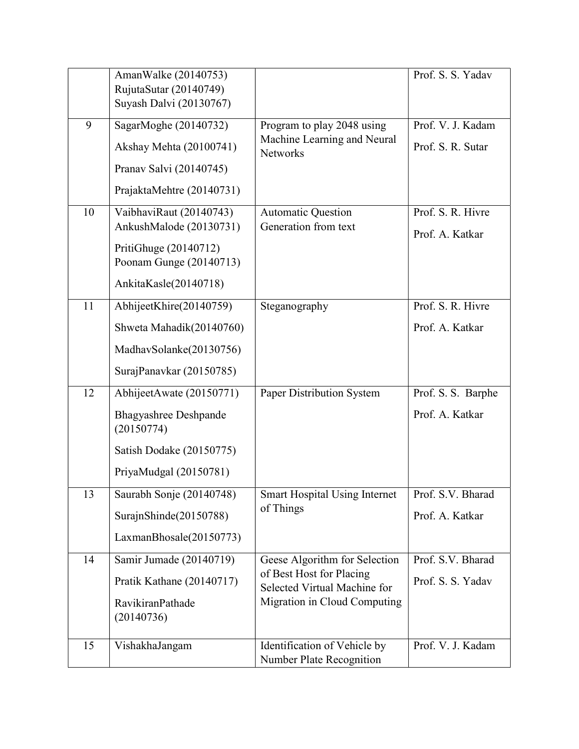|    | AmanWalke (20140753)                       |                                                          | Prof. S. S. Yadav  |
|----|--------------------------------------------|----------------------------------------------------------|--------------------|
|    | RujutaSutar (20140749)                     |                                                          |                    |
|    | Suyash Dalvi (20130767)                    |                                                          |                    |
| 9  | SagarMoghe (20140732)                      | Program to play 2048 using                               | Prof. V. J. Kadam  |
|    | Akshay Mehta (20100741)                    | Machine Learning and Neural<br><b>Networks</b>           | Prof. S. R. Sutar  |
|    | Pranav Salvi (20140745)                    |                                                          |                    |
|    | PrajaktaMehtre (20140731)                  |                                                          |                    |
| 10 | VaibhaviRaut (20140743)                    | <b>Automatic Question</b>                                | Prof. S. R. Hivre  |
|    | AnkushMalode (20130731)                    | Generation from text                                     | Prof. A. Katkar    |
|    | PritiGhuge (20140712)                      |                                                          |                    |
|    | Poonam Gunge (20140713)                    |                                                          |                    |
|    | AnkitaKasle(20140718)                      |                                                          |                    |
| 11 | AbhijeetKhire(20140759)                    | Steganography                                            | Prof. S. R. Hivre  |
|    | Shweta Mahadik(20140760)                   |                                                          | Prof. A. Katkar    |
|    | MadhavSolanke(20130756)                    |                                                          |                    |
|    | SurajPanavkar (20150785)                   |                                                          |                    |
| 12 | AbhijeetAwate (20150771)                   | Paper Distribution System                                | Prof. S. S. Barphe |
|    | <b>Bhagyashree Deshpande</b><br>(20150774) |                                                          | Prof. A. Katkar    |
|    | Satish Dodake (20150775)                   |                                                          |                    |
|    | PriyaMudgal (20150781)                     |                                                          |                    |
| 13 | Saurabh Sonje (20140748)                   | <b>Smart Hospital Using Internet</b>                     | Prof. S.V. Bharad  |
|    | SurajnShinde(20150788)                     | of Things                                                | Prof. A. Katkar    |
|    | LaxmanBhosale(20150773)                    |                                                          |                    |
| 14 | Samir Jumade (20140719)                    | Geese Algorithm for Selection                            | Prof. S.V. Bharad  |
|    | Pratik Kathane (20140717)                  | of Best Host for Placing<br>Selected Virtual Machine for | Prof. S. S. Yadav  |
|    | RavikiranPathade                           | Migration in Cloud Computing                             |                    |
|    | (20140736)                                 |                                                          |                    |
| 15 | VishakhaJangam                             | Identification of Vehicle by                             | Prof. V. J. Kadam  |
|    |                                            | Number Plate Recognition                                 |                    |